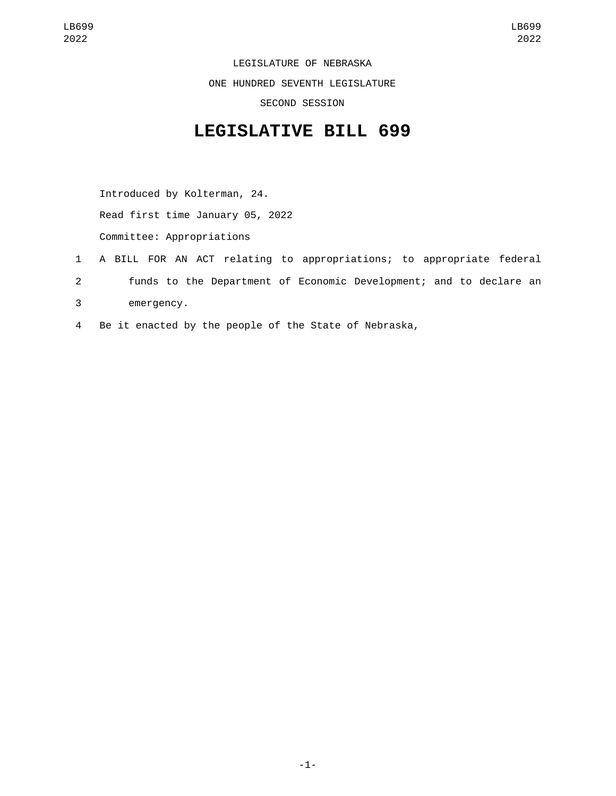LEGISLATURE OF NEBRASKA ONE HUNDRED SEVENTH LEGISLATURE SECOND SESSION

## **LEGISLATIVE BILL 699**

Introduced by Kolterman, 24. Read first time January 05, 2022 Committee: Appropriations

- 1 A BILL FOR AN ACT relating to appropriations; to appropriate federal 2 funds to the Department of Economic Development; and to declare an emergency.3
- 4 Be it enacted by the people of the State of Nebraska,